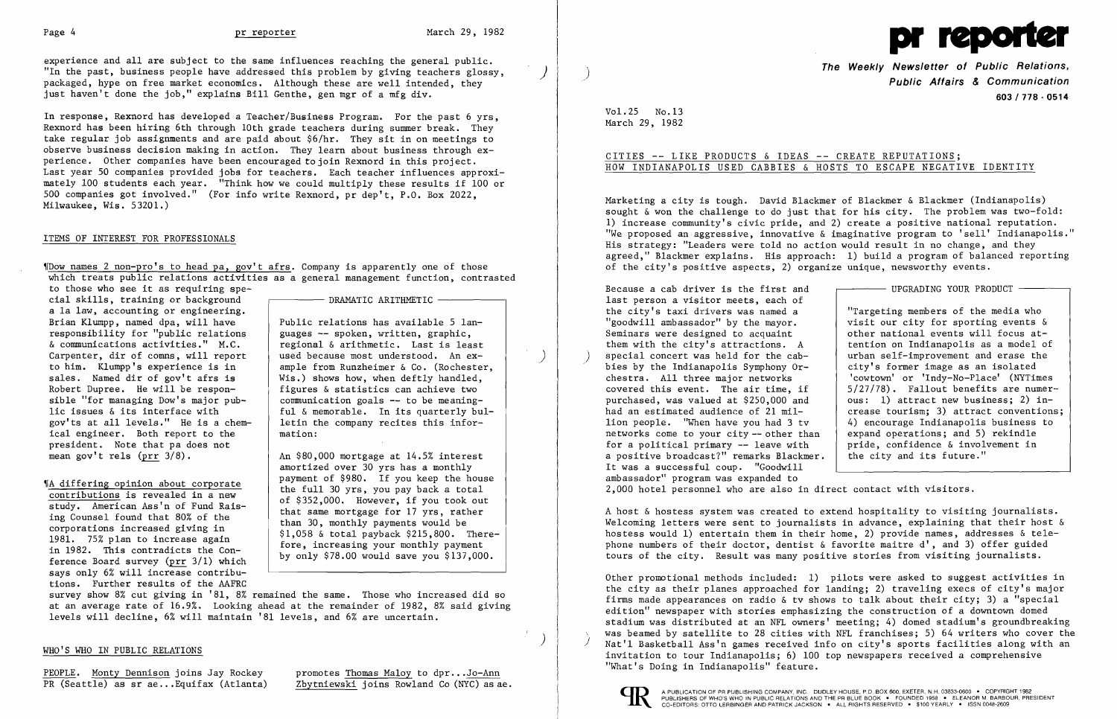experience and all are subject to the same influences reaching the general public. "In the past, business people have addressed this problem by giving teachers glossy, packaged, hype on free market economics. Although these are well intended, they just haven't done the job," explains Bill Genthe, gen mgr of a mfg div.

The names 2 non-pro's to head pa, gov't afrs. Company is apparently one of those which treats public relations activities as a general management function, contrasted to those who see it as requiring spe-

cial skills, training or background a la law, accounting or engineering. Brian Klumpp, named dpa, will have responsibility for "public relations  $\&$  communications activities." M.C. Carpenter, dir of comns, will report to him. Klumpp's experience is in sales. Named dir of gov't afrs is Robert Dupree. He will be responsible "for managing Dow's major public issues & its interface with gov'ts at all levels." He is a chemical engineer. Both report to the president. Note that pa does not mean gov't rels  $(prr 3/8)$ .

In response, Rexnord has developed a Teacher/Business Program. For the past 6 yrs, Rexnord has been hiring 6th through 10th grade teachers during summer break. They take regular job assignments and are paid about \$6/hr. They sit in on meetings to observe business decision making in action. They learn about business through experience. Other companies have been encouraged to join Rexnord in this project. Last year 50 companies provided jobs for teachers. Each teacher influences approximately 100 students each year. "Think how we could multiply these results if 100 or 500 companies got involved." (For info write Rexnord, pr dep't, P.O. Box 2022, Milwaukee, Wis. 53201.)

### ITEMS OF INTEREST FOR PROFESSIONALS

'IA differing opinion about corporate contributions is revealed in a new study. American Ass'n of Fund Raising Counsel found that 80% of the corporations increased giving in 1981. 75% plan to increase again in 1982. This contradicts the Conference Board survey (prr 3/1) which says only 6% will increase contributions. Further results of the AAFRC  $-$  DRAMATIC ARITHMETIC  $-$ 

Public relations has available 5 lan guages -- spoken, written, graphic, regional & arithmetic. Last is least used because most understood. An ex-<br>ample from Runzheimer & Co. (Rochester, Wis.) shows how, when deftly handled. figures & statistics can achieve two communication goals  $-$  to be meaningful & memorable. In its quarterly bul letin the company recites this information:

An \$80,000 mortgage at 14.5% interest amortized over 30 yrs has a monthly payment of \$980. If you keep the house the full 30 yrs, you pay back a total of \$352,000. However, if you took out that same mortgage for 17 yrs, rather than 30, monthly payments would be \$1,058 & total payback \$215,800. There fore, increasing your monthly payment by only \$78.00 would save you \$137,000.

survey show 8% cut giving in '81, 8% remained the same. Those who increased did so at an average rate of 16.9%. Looking ahead at the remainder of 1982, 8% said giving levels will decline, 6% will maintain '81 levels, and 6% are uncertain.



**The Weekly Newsletter of Public Relations,** ) **Public Affairs & Communication 603/718 - 0514** 

 $-$  UPGRADING YOUR PRODUCT  $-$ 

Vol. 25 No.13 March 29, 1982

## CITIES -- LIKE PRODUCTS & IDEAS -- CREATE REPUTATIONS; HOW INDIANAPOLIS USED CABBIES & HOSTS TO ESCAPE NEGATIVE IDENTITY

Marketing a city is tough. David Blackmer of Blackmer & Blackmer (Indianapolis) sought & won the challenge to do just that for his city. The problem was two-fold: 1) increase community's civic pride, and 2) create a positive national reputation. "We proposed an aggressive, innovative  $\&$  imaginative program to 'sell' Indianapolis." His strategy: "Leaders were told no action would result in no change, and they agreed," Blackmer explains. His approach: 1) build a program of balanced reporting of the city's positive aspects, 2) organize unique, newsworthy events.

Because a cab driver is the first and last person a visitor meets, each of the city's taxi drivers was named a "goodwill ambassador" by the mayor. Seminars were designed to acquaint them with the city's attractions. A special concert was held for the cabbies by the Indianapolis Symphony Orchestra. All three major networks covered this event. The air time, if purchased, was valued at \$250,000 and had an estimated audience of 21 million people. "When have you had 3 tv networks come to your city -- other than for a political primary -- leave with a positive broadcast?" remarks Blackmer. It was a successful coup. "Goodwill ambassador" program was expanded to 2,000 hotel personnel who are also in direct contact with visitors.

"Targeting members of the media who visit our city for sporting events & other national events will focus attention on Indianapolis as a model of urban self-improvement and erase the city's former image as an isolated 'cowtown' or 'Indy-No-Place' (NYTimes 5/27/78). Fallout benefits are numerous: 1) attract new business; 2) increase tourism; 3) attract conventions; 4) encourage Indianapolis business to expand operations; and 5) rekindle pride, confidence & involvement in the city and its future."

A host & hostess system was created to extend hospitality to visiting journalists. Welcoming letters were sent to journalists in advance, explaining that their host  $\&$ hostess would 1) entertain them in their home, 2) provide names, addresses & telephone numbers of their doctor, dentist & favorite maitre d', and 3) offer guided tours of the city. Result was many positive stories from visiting journalists.

Other promotional methods included: 1) pilots were asked to suggest activities in the city as their planes approached for landing; 2) traveling execs of city's major firms made appearances on radio & tv shows to talk about their city; 3) a "special edition" newspaper with stories emphasizing the construction of a downtown domed stadium was distributed at an NFL owners' meeting; 4) domed stadium's groundbreaking was beamed by satellite to 28 cities with NFL franchises; 5) 64 writers who cover the Nat'l Basketball Ass'n games received info on city's sports facilities along with an invitation to tour Indianapolis; 6) 100 top newspapers received a comprehensive



### WHO'S WHO IN PUBLIC RELATIONS

PEOPLE. Monty Dennison joins Jay Rockey promotes <u>Thomas Maloy</u> to dpr...<u>Jo-Ann</u> "What's Doing in Indianapolis" feature.<br>PR (Seattle) as sr ae...Equifax (Atlanta) 2bytniewski joins Rowland Co (NYC) as ae.

Zbytniewski joins Rowland Co (NYC) as ae.

) )